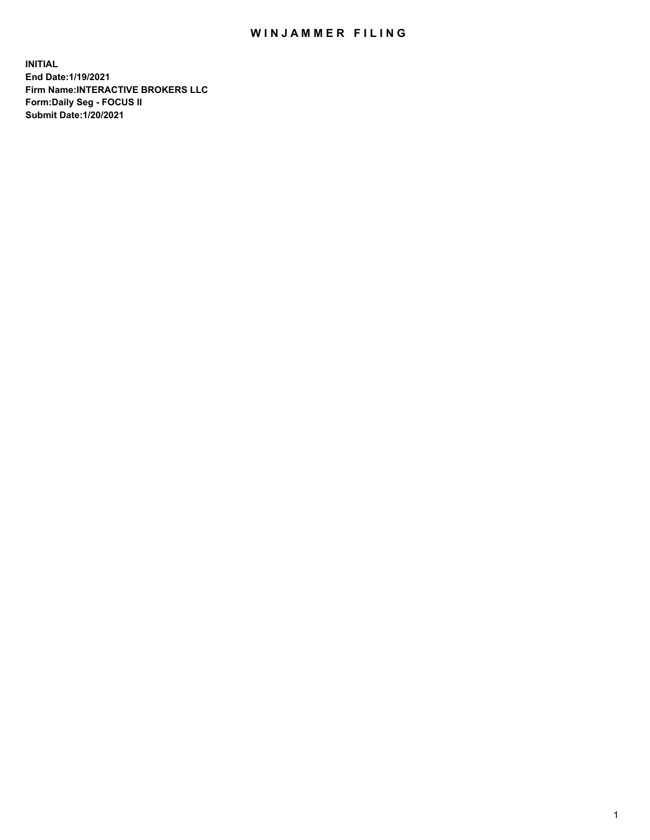## WIN JAMMER FILING

**INITIAL End Date:1/19/2021 Firm Name:INTERACTIVE BROKERS LLC Form:Daily Seg - FOCUS II Submit Date:1/20/2021**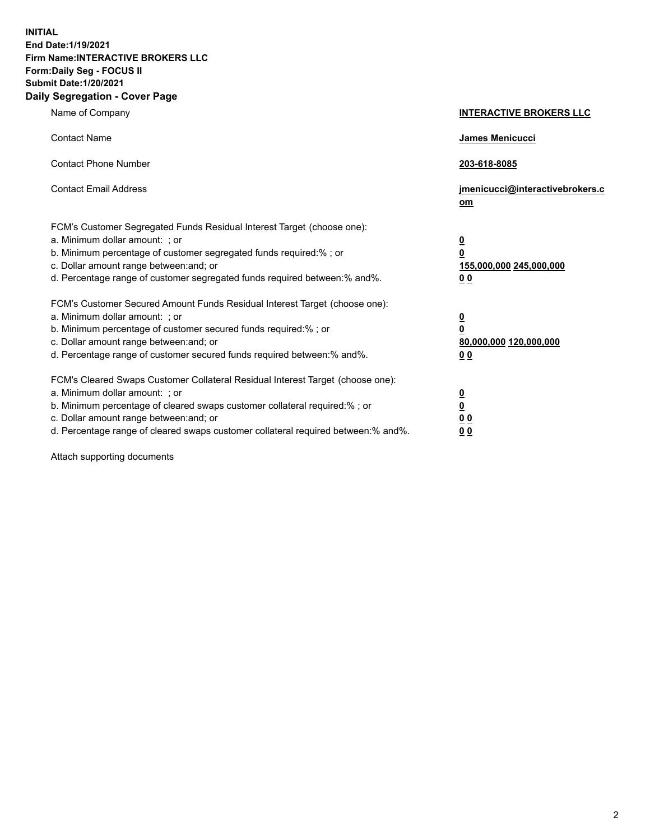**INITIAL End Date:1/19/2021 Firm Name:INTERACTIVE BROKERS LLC Form:Daily Seg - FOCUS II Submit Date:1/20/2021 Daily Segregation - Cover Page**

| Name of Company                                                                                                                                                                                                                                                                                                                | <b>INTERACTIVE BROKERS LLC</b>                                                   |  |
|--------------------------------------------------------------------------------------------------------------------------------------------------------------------------------------------------------------------------------------------------------------------------------------------------------------------------------|----------------------------------------------------------------------------------|--|
| <b>Contact Name</b>                                                                                                                                                                                                                                                                                                            | James Menicucci                                                                  |  |
| <b>Contact Phone Number</b>                                                                                                                                                                                                                                                                                                    | 203-618-8085                                                                     |  |
| <b>Contact Email Address</b>                                                                                                                                                                                                                                                                                                   | jmenicucci@interactivebrokers.c<br>om                                            |  |
| FCM's Customer Segregated Funds Residual Interest Target (choose one):<br>a. Minimum dollar amount: ; or<br>b. Minimum percentage of customer segregated funds required:% ; or<br>c. Dollar amount range between: and; or<br>d. Percentage range of customer segregated funds required between:% and%.                         | <u>0</u><br>$\overline{\mathbf{0}}$<br>155,000,000 245,000,000<br>0 <sub>0</sub> |  |
| FCM's Customer Secured Amount Funds Residual Interest Target (choose one):<br>a. Minimum dollar amount: ; or<br>b. Minimum percentage of customer secured funds required:% ; or<br>c. Dollar amount range between: and; or<br>d. Percentage range of customer secured funds required between:% and%.                           | <u>0</u><br>$\overline{\mathbf{0}}$<br>80,000,000 120,000,000<br>0 <sub>0</sub>  |  |
| FCM's Cleared Swaps Customer Collateral Residual Interest Target (choose one):<br>a. Minimum dollar amount: ; or<br>b. Minimum percentage of cleared swaps customer collateral required:% ; or<br>c. Dollar amount range between: and; or<br>d. Percentage range of cleared swaps customer collateral required between:% and%. | <u>0</u><br>$\underline{\mathbf{0}}$<br>0 <sub>0</sub><br>0 <sub>0</sub>         |  |

Attach supporting documents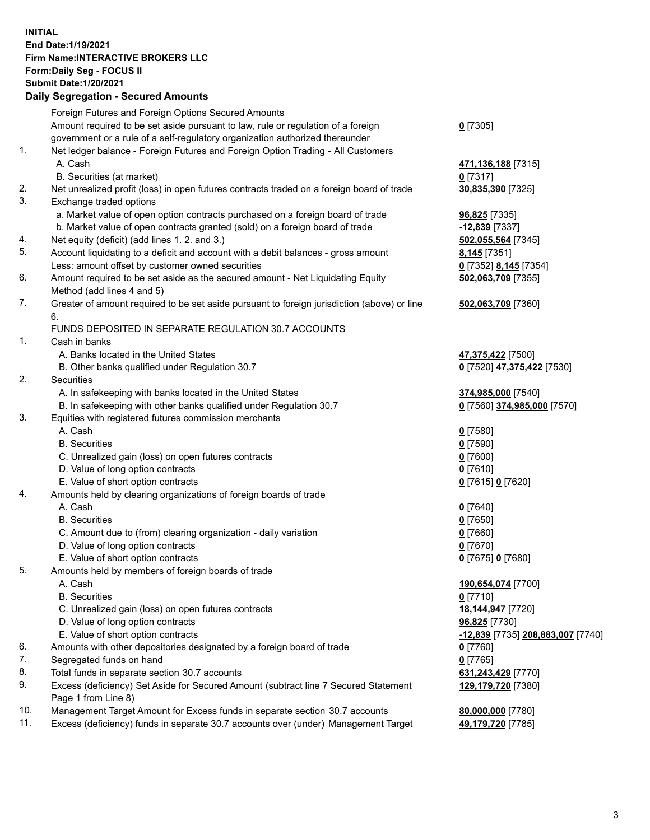**INITIAL End Date:1/19/2021 Firm Name:INTERACTIVE BROKERS LLC Form:Daily Seg - FOCUS II Submit Date:1/20/2021 Daily Segregation - Secured Amounts**

## Foreign Futures and Foreign Options Secured Amounts Amount required to be set aside pursuant to law, rule or regulation of a foreign government or a rule of a self-regulatory organization authorized thereunder **0** [7305] 1. Net ledger balance - Foreign Futures and Foreign Option Trading - All Customers A. Cash **471,136,188** [7315] B. Securities (at market) **0** [7317] 2. Net unrealized profit (loss) in open futures contracts traded on a foreign board of trade **30,835,390** [7325] 3. Exchange traded options a. Market value of open option contracts purchased on a foreign board of trade **96,825** [7335] b. Market value of open contracts granted (sold) on a foreign board of trade **-12,839** [7337] 4. Net equity (deficit) (add lines 1. 2. and 3.) **502,055,564** [7345] 5. Account liquidating to a deficit and account with a debit balances - gross amount **8,145** [7351] Less: amount offset by customer owned securities **0** [7352] **8,145** [7354] 6. Amount required to be set aside as the secured amount - Net Liquidating Equity Method (add lines 4 and 5) **502,063,709** [7355] 7. Greater of amount required to be set aside pursuant to foreign jurisdiction (above) or line 6. **502,063,709** [7360] FUNDS DEPOSITED IN SEPARATE REGULATION 30.7 ACCOUNTS 1. Cash in banks A. Banks located in the United States **47,375,422** [7500] B. Other banks qualified under Regulation 30.7 **0** [7520] **47,375,422** [7530] 2. Securities A. In safekeeping with banks located in the United States **374,985,000** [7540] B. In safekeeping with other banks qualified under Regulation 30.7 **0** [7560] **374,985,000** [7570] 3. Equities with registered futures commission merchants A. Cash **0** [7580] B. Securities **0** [7590] C. Unrealized gain (loss) on open futures contracts **0** [7600] D. Value of long option contracts **0** [7610] E. Value of short option contracts **0** [7615] **0** [7620] 4. Amounts held by clearing organizations of foreign boards of trade A. Cash **0** [7640] B. Securities **0** [7650] C. Amount due to (from) clearing organization - daily variation **0** [7660] D. Value of long option contracts **0** [7670] E. Value of short option contracts **0** [7675] **0** [7680] 5. Amounts held by members of foreign boards of trade A. Cash **190,654,074** [7700] B. Securities **0** [7710] C. Unrealized gain (loss) on open futures contracts **18,144,947** [7720] D. Value of long option contracts **96,825** [7730] E. Value of short option contracts **-12,839** [7735] **208,883,007** [7740] 6. Amounts with other depositories designated by a foreign board of trade **0** [7760] 7. Segregated funds on hand **0** [7765] 8. Total funds in separate section 30.7 accounts **631,243,429** [7770] 9. Excess (deficiency) Set Aside for Secured Amount (subtract line 7 Secured Statement Page 1 from Line 8) **129,179,720** [7380] 10. Management Target Amount for Excess funds in separate section 30.7 accounts **80,000,000** [7780] 11. Excess (deficiency) funds in separate 30.7 accounts over (under) Management Target **49,179,720** [7785]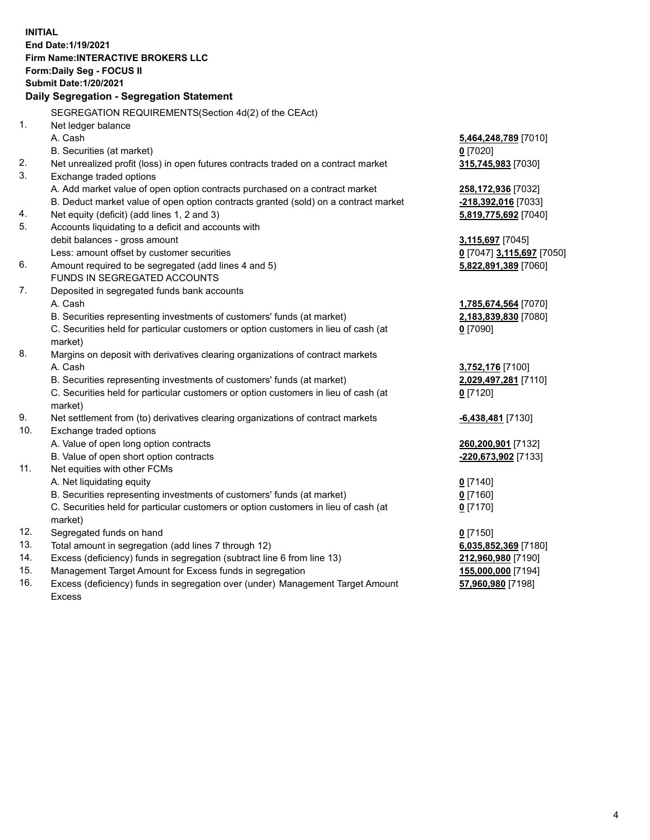**INITIAL End Date:1/19/2021 Firm Name:INTERACTIVE BROKERS LLC Form:Daily Seg - FOCUS II Submit Date:1/20/2021 Daily Segregation - Segregation Statement** SEGREGATION REQUIREMENTS(Section 4d(2) of the CEAct) 1. Net ledger balance A. Cash **5,464,248,789** [7010] B. Securities (at market) **0** [7020] 2. Net unrealized profit (loss) in open futures contracts traded on a contract market **315,745,983** [7030] 3. Exchange traded options A. Add market value of open option contracts purchased on a contract market **258,172,936** [7032] B. Deduct market value of open option contracts granted (sold) on a contract market **-218,392,016** [7033] 4. Net equity (deficit) (add lines 1, 2 and 3) **5,819,775,692** [7040] 5. Accounts liquidating to a deficit and accounts with debit balances - gross amount **3,115,697** [7045] Less: amount offset by customer securities **0** [7047] **3,115,697** [7050] 6. Amount required to be segregated (add lines 4 and 5) **5,822,891,389** [7060] FUNDS IN SEGREGATED ACCOUNTS 7. Deposited in segregated funds bank accounts A. Cash **1,785,674,564** [7070] B. Securities representing investments of customers' funds (at market) **2,183,839,830** [7080] C. Securities held for particular customers or option customers in lieu of cash (at market) **0** [7090] 8. Margins on deposit with derivatives clearing organizations of contract markets A. Cash **3,752,176** [7100] B. Securities representing investments of customers' funds (at market) **2,029,497,281** [7110] C. Securities held for particular customers or option customers in lieu of cash (at market) **0** [7120] 9. Net settlement from (to) derivatives clearing organizations of contract markets **-6,438,481** [7130] 10. Exchange traded options A. Value of open long option contracts **260,200,901** [7132] B. Value of open short option contracts **-220,673,902** [7133] 11. Net equities with other FCMs A. Net liquidating equity **0** [7140] B. Securities representing investments of customers' funds (at market) **0** [7160] C. Securities held for particular customers or option customers in lieu of cash (at market) **0** [7170] 12. Segregated funds on hand **0** [7150] 13. Total amount in segregation (add lines 7 through 12) **6,035,852,369** [7180] 14. Excess (deficiency) funds in segregation (subtract line 6 from line 13) **212,960,980** [7190] 15. Management Target Amount for Excess funds in segregation **155,000,000** [7194]

16. Excess (deficiency) funds in segregation over (under) Management Target Amount Excess

**57,960,980** [7198]